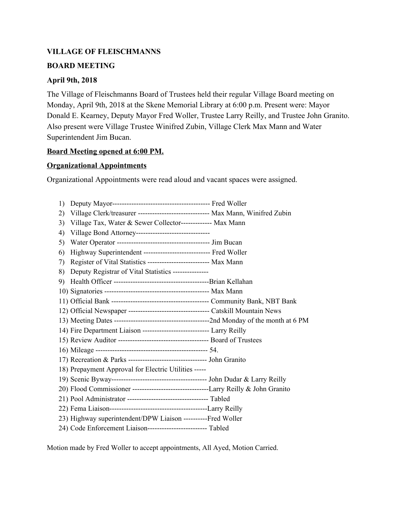# **VILLAGE OF FLEISCHMANNS**

#### **BOARD MEETING**

#### **April 9th, 2018**

The Village of Fleischmanns Board of Trustees held their regular Village Board meeting on Monday, April 9th, 2018 at the Skene Memorial Library at 6:00 p.m. Present were: Mayor Donald E. Kearney, Deputy Mayor Fred Woller, Trustee Larry Reilly, and Trustee John Granito. Also present were Village Trustee Winifred Zubin, Village Clerk Max Mann and Water Superintendent Jim Bucan.

#### **Board Meeting opened at 6:00 PM.**

# **Organizational Appointments**

Organizational Appointments were read aloud and vacant spaces were assigned.

| 1)  |                                                                                  |  |
|-----|----------------------------------------------------------------------------------|--|
| 2)  | Village Clerk/treasurer ------------------------------ Max Mann, Winifred Zubin  |  |
| 3)  | Village Tax, Water & Sewer Collector------------- Max Mann                       |  |
| 4)  | Village Bond Attorney-------------------------------                             |  |
| 5)  |                                                                                  |  |
| 6)  | Highway Superintendent -------------------------------- Fred Woller              |  |
| 7)  | Register of Vital Statistics --------------------------- Max Mann                |  |
| 8)  | Deputy Registrar of Vital Statistics ---------------                             |  |
| 9). |                                                                                  |  |
|     |                                                                                  |  |
|     |                                                                                  |  |
|     | 12) Official Newspaper ---------------------------------- Catskill Mountain News |  |
|     |                                                                                  |  |
|     | 14) Fire Department Liaison ----------------------------- Larry Reilly           |  |
|     |                                                                                  |  |
|     |                                                                                  |  |
|     | 17) Recreation & Parks --------------------------------- John Granito            |  |
|     | 18) Prepayment Approval for Electric Utilities -----                             |  |
|     |                                                                                  |  |
|     |                                                                                  |  |
|     | 21) Pool Administrator --------------------------------- Tabled                  |  |
|     |                                                                                  |  |
|     | 23) Highway superintendent/DPW Liaison ----------Fred Woller                     |  |
|     | 24) Code Enforcement Liaison--------------------------- Tabled                   |  |

Motion made by Fred Woller to accept appointments, All Ayed, Motion Carried.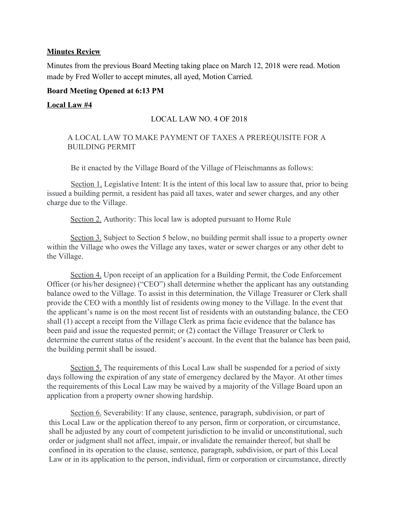#### **Minutes Review**

Minutes from the previous Board Meeting taking place on March 12, 2018 were read. Motion made by Fred Woller to accept minutes, all ayed, Motion Carried.

#### **Board Meeting Opened at 6:13 PM**

#### **Local Law #4**

# LOCAL LAW NO. 4 OF 2018

#### A LOCAL LAW TO MAKE PAYMENT OF TAXES A PREREQUISITE FOR A BUILDING PERMIT

Be it enacted by the Village Board of the Village of Fleischmanns as follows:

Section 1. Legislative Intent: It is the intent of this local law to assure that, prior to being issued a building permit, a resident has paid all taxes, water and sewer charges, and any other charge due to the Village.

Section 2. Authority: This local law is adopted pursuant to Home Rule

Section 3. Subject to Section 5 below, no building permit shall issue to a property owner within the Village who owes the Village any taxes, water or sewer charges or any other debt to the Village.

Section 4. Upon receipt of an application for a Building Permit, the Code Enforcement Officer (or his/her designee) ("CEO") shall determine whether the applicant has any outstanding balance owed to the Village. To assist in this determination, the Village Treasurer or Clerk shall provide the CEO with a monthly list of residents owing money to the Village. In the event that the applicant's name is on the most recent list of residents with an outstanding balance, the CEO shall (1) accept a receipt from the Village Clerk as prima facie evidence that the balance has been paid and issue the requested permit; or (2) contact the Village Treasurer or Clerk to determine the current status of the resident's account. In the event that the balance has been paid, the building permit shall be issued.

Section 5. The requirements of this Local Law shall be suspended for a period of sixty days following the expiration of any state of emergency declared by the Mayor. At other times the requirements of this Local Law may be waived by a majority of the Village Board upon an application from a property owner showing hardship.

Section 6. Severability: If any clause, sentence, paragraph, subdivision, or part of this Local Law or the application thereof to any person, firm or corporation, or circumstance, shall be adjusted by any court of competent jurisdiction to be invalid or unconstitutional, such order or judgment shall not affect, impair, or invalidate the remainder thereof, but shall be confined in its operation to the clause, sentence, paragraph, subdivision, or part of this Local Law or in its application to the person, individual, firm or corporation or circumstance, directly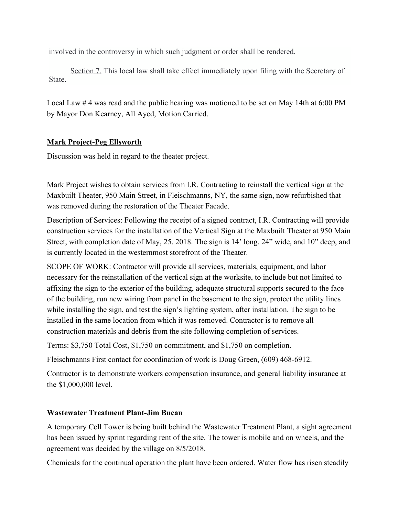involved in the controversy in which such judgment or order shall be rendered.

Section 7. This local law shall take effect immediately upon filing with the Secretary of State.

Local Law #4 was read and the public hearing was motioned to be set on May 14th at 6:00 PM by Mayor Don Kearney, All Ayed, Motion Carried.

# **Mark Project-Peg Ellsworth**

Discussion was held in regard to the theater project.

Mark Project wishes to obtain services from I.R. Contracting to reinstall the vertical sign at the Maxbuilt Theater, 950 Main Street, in Fleischmanns, NY, the same sign, now refurbished that was removed during the restoration of the Theater Facade.

Description of Services: Following the receipt of a signed contract, I.R. Contracting will provide construction services for the installation of the Vertical Sign at the Maxbuilt Theater at 950 Main Street, with completion date of May, 25, 2018. The sign is 14' long, 24" wide, and 10" deep, and is currently located in the westernmost storefront of the Theater.

SCOPE OF WORK: Contractor will provide all services, materials, equipment, and labor necessary for the reinstallation of the vertical sign at the worksite, to include but not limited to affixing the sign to the exterior of the building, adequate structural supports secured to the face of the building, run new wiring from panel in the basement to the sign, protect the utility lines while installing the sign, and test the sign's lighting system, after installation. The sign to be installed in the same location from which it was removed. Contractor is to remove all construction materials and debris from the site following completion of services.

Terms: \$3,750 Total Cost, \$1,750 on commitment, and \$1,750 on completion.

Fleischmanns First contact for coordination of work is Doug Green, (609) 468-6912.

Contractor is to demonstrate workers compensation insurance, and general liability insurance at the \$1,000,000 level.

# **Wastewater Treatment Plant-Jim Bucan**

A temporary Cell Tower is being built behind the Wastewater Treatment Plant, a sight agreement has been issued by sprint regarding rent of the site. The tower is mobile and on wheels, and the agreement was decided by the village on 8/5/2018.

Chemicals for the continual operation the plant have been ordered. Water flow has risen steadily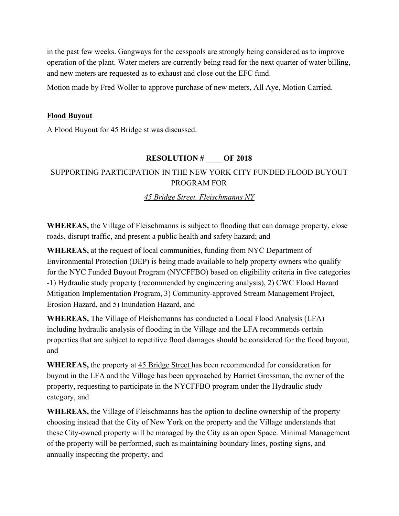in the past few weeks. Gangways for the cesspools are strongly being considered as to improve operation of the plant. Water meters are currently being read for the next quarter of water billing, and new meters are requested as to exhaust and close out the EFC fund.

Motion made by Fred Woller to approve purchase of new meters, All Aye, Motion Carried.

#### **Flood Buyout**

A Flood Buyout for 45 Bridge st was discussed.

# **RESOLUTION # \_\_\_\_ OF 2018**

# SUPPORTING PARTICIPATION IN THE NEW YORK CITY FUNDED FLOOD BUYOUT PROGRAM FOR

# *45 Bridge Street, Fleischmanns NY*

**WHEREAS,** the Village of Fleischmanns is subject to flooding that can damage property, close roads, disrupt traffic, and present a public health and safety hazard; and

**WHEREAS,** at the request of local communities, funding from NYC Department of Environmental Protection (DEP) is being made available to help property owners who qualify for the NYC Funded Buyout Program (NYCFFBO) based on eligibility criteria in five categories -1) Hydraulic study property (recommended by engineering analysis), 2) CWC Flood Hazard Mitigation Implementation Program, 3) Community-approved Stream Management Project, Erosion Hazard, and 5) Inundation Hazard, and

**WHEREAS,** The Village of Fleishcmanns has conducted a Local Flood Analysis (LFA) including hydraulic analysis of flooding in the Village and the LFA recommends certain properties that are subject to repetitive flood damages should be considered for the flood buyout, and

**WHEREAS,** the property at 45 Bridge Street has been recommended for consideration for buyout in the LFA and the Village has been approached by Harriet Grossman, the owner of the property, requesting to participate in the NYCFFBO program under the Hydraulic study category, and

**WHEREAS,** the Village of Fleischmanns has the option to decline ownership of the property choosing instead that the City of New York on the property and the Village understands that these City-owned property will be managed by the City as an open Space. Minimal Management of the property will be performed, such as maintaining boundary lines, posting signs, and annually inspecting the property, and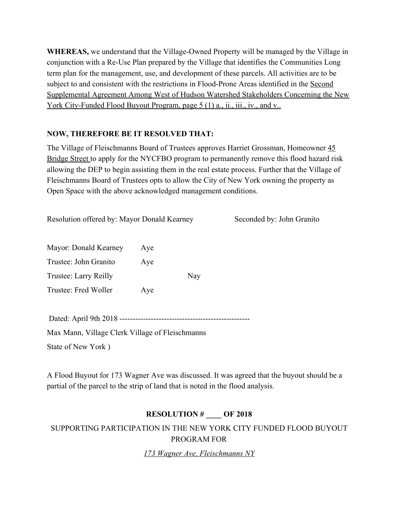**WHEREAS,** we understand that the Village-Owned Property will be managed by the Village in conjunction with a Re-Use Plan prepared by the Village that identifies the Communities Long term plan for the management, use, and development of these parcels. All activities are to be subject to and consistent with the restrictions in Flood-Prone Areas identified in the Second Supplemental Agreement Among West of Hudson Watershed Stakeholders Concerning the New York City-Funded Flood Buyout Program, page 5 (1) a., ii., iii., iv., and v...

# **NOW, THEREFORE BE IT RESOLVED THAT:**

The Village of Fleischmanns Board of Trustees approves Harriet Grossman, Homeowner 45 Bridge Street to apply for the NYCFBO program to permanently remove this flood hazard risk allowing the DEP to begin assisting them in the real estate process. Further that the Village of Fleischmanns Board of Trustees opts to allow the City of New York owning the property as Open Space with the above acknowledged management conditions.

Resolution offered by: Mayor Donald Kearney Seconded by: John Granito

Mayor: Donald Kearney Aye Trustee: John Granito Aye Trustee: Larry Reilly Nay Trustee: Fred Woller Aye

Dated: April 9th 2018 --------------------------------------------------

Max Mann, Village Clerk Village of Fleischmanns State of New York )

A Flood Buyout for 173 Wagner Ave was discussed. It was agreed that the buyout should be a partial of the parcel to the strip of land that is noted in the flood analysis.

# **RESOLUTION # \_\_\_\_ OF 2018**

SUPPORTING PARTICIPATION IN THE NEW YORK CITY FUNDED FLOOD BUYOUT PROGRAM FOR

*173 Wagner Ave, Fleischmanns NY*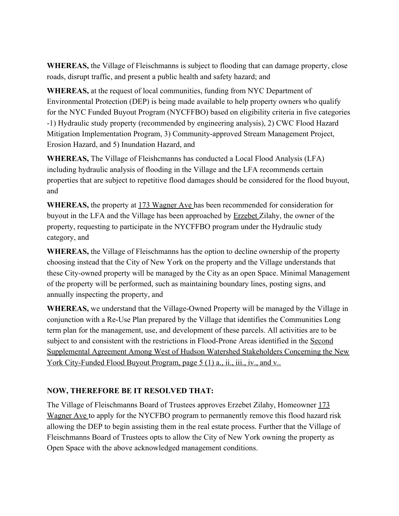**WHEREAS,** the Village of Fleischmanns is subject to flooding that can damage property, close roads, disrupt traffic, and present a public health and safety hazard; and

**WHEREAS,** at the request of local communities, funding from NYC Department of Environmental Protection (DEP) is being made available to help property owners who qualify for the NYC Funded Buyout Program (NYCFFBO) based on eligibility criteria in five categories -1) Hydraulic study property (recommended by engineering analysis), 2) CWC Flood Hazard Mitigation Implementation Program, 3) Community-approved Stream Management Project, Erosion Hazard, and 5) Inundation Hazard, and

**WHEREAS,** The Village of Fleishcmanns has conducted a Local Flood Analysis (LFA) including hydraulic analysis of flooding in the Village and the LFA recommends certain properties that are subject to repetitive flood damages should be considered for the flood buyout, and

**WHEREAS,** the property at 173 Wagner Ave has been recommended for consideration for buyout in the LFA and the Village has been approached by Erzebet Zilahy, the owner of the property, requesting to participate in the NYCFFBO program under the Hydraulic study category, and

**WHEREAS,** the Village of Fleischmanns has the option to decline ownership of the property choosing instead that the City of New York on the property and the Village understands that these City-owned property will be managed by the City as an open Space. Minimal Management of the property will be performed, such as maintaining boundary lines, posting signs, and annually inspecting the property, and

**WHEREAS,** we understand that the Village-Owned Property will be managed by the Village in conjunction with a Re-Use Plan prepared by the Village that identifies the Communities Long term plan for the management, use, and development of these parcels. All activities are to be subject to and consistent with the restrictions in Flood-Prone Areas identified in the Second Supplemental Agreement Among West of Hudson Watershed Stakeholders Concerning the New York City-Funded Flood Buyout Program, page 5 (1) a., ii., iii., iv., and v..

# **NOW, THEREFORE BE IT RESOLVED THAT:**

The Village of Fleischmanns Board of Trustees approves Erzebet Zilahy, Homeowner 173 Wagner Ave to apply for the NYCFBO program to permanently remove this flood hazard risk allowing the DEP to begin assisting them in the real estate process. Further that the Village of Fleischmanns Board of Trustees opts to allow the City of New York owning the property as Open Space with the above acknowledged management conditions.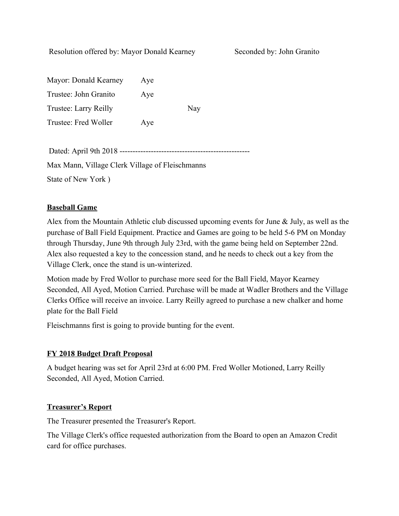Resolution offered by: Mayor Donald Kearney Seconded by: John Granito

| Mayor: Donald Kearney | Aye |     |
|-----------------------|-----|-----|
| Trustee: John Granito | Aye |     |
| Trustee: Larry Reilly |     | Nay |
| Trustee: Fred Woller  | Aye |     |
|                       |     |     |

| Max Mann, Village Clerk Village of Fleischmanns |
|-------------------------------------------------|
| State of New York)                              |

# **Baseball Game**

Alex from the Mountain Athletic club discussed upcoming events for June & July, as well as the purchase of Ball Field Equipment. Practice and Games are going to be held 5-6 PM on Monday through Thursday, June 9th through July 23rd, with the game being held on September 22nd. Alex also requested a key to the concession stand, and he needs to check out a key from the Village Clerk, once the stand is un-winterized.

Motion made by Fred Wollor to purchase more seed for the Ball Field, Mayor Kearney Seconded, All Ayed, Motion Carried. Purchase will be made at Wadler Brothers and the Village Clerks Office will receive an invoice. Larry Reilly agreed to purchase a new chalker and home plate for the Ball Field

Fleischmanns first is going to provide bunting for the event.

# **FY 2018 Budget Draft Proposal**

A budget hearing was set for April 23rd at 6:00 PM. Fred Woller Motioned, Larry Reilly Seconded, All Ayed, Motion Carried.

# **Treasurer's Report**

The Treasurer presented the Treasurer's Report.

The Village Clerk's office requested authorization from the Board to open an Amazon Credit card for office purchases.